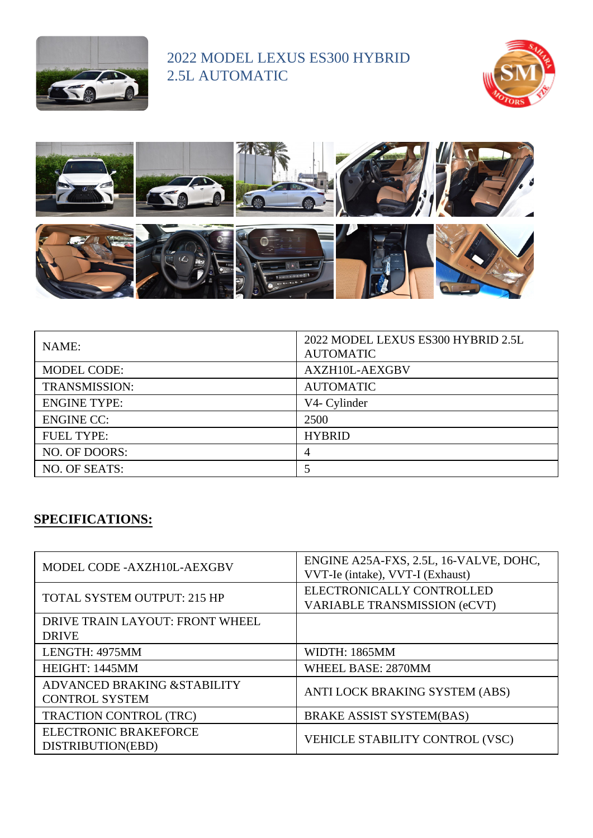

## 2022 MODEL LEXUS ES300 HYBRID 2.5L AUTOMATIC





| NAME:                | 2022 MODEL LEXUS ES300 HYBRID 2.5L<br><b>AUTOMATIC</b> |
|----------------------|--------------------------------------------------------|
| <b>MODEL CODE:</b>   | AXZH10L-AEXGBV                                         |
| <b>TRANSMISSION:</b> | <b>AUTOMATIC</b>                                       |
| <b>ENGINE TYPE:</b>  | V4- Cylinder                                           |
| <b>ENGINE CC:</b>    | 2500                                                   |
| <b>FUEL TYPE:</b>    | <b>HYBRID</b>                                          |
| NO. OF DOORS:        | 4                                                      |
| NO. OF SEATS:        |                                                        |

## **SPECIFICATIONS:**

| MODEL CODE - AXZH10L-AEXGBV                           | ENGINE A25A-FXS, 2.5L, 16-VALVE, DOHC,<br>VVT-Ie (intake), VVT-I (Exhaust) |
|-------------------------------------------------------|----------------------------------------------------------------------------|
| <b>TOTAL SYSTEM OUTPUT: 215 HP</b>                    | ELECTRONICALLY CONTROLLED<br>VARIABLE TRANSMISSION (eCVT)                  |
| DRIVE TRAIN LAYOUT: FRONT WHEEL<br><b>DRIVE</b>       |                                                                            |
| LENGTH: 4975MM                                        | <b>WIDTH: 1865MM</b>                                                       |
| HEIGHT: 1445MM                                        | <b>WHEEL BASE: 2870MM</b>                                                  |
| ADVANCED BRAKING & STABILITY<br><b>CONTROL SYSTEM</b> | ANTI LOCK BRAKING SYSTEM (ABS)                                             |
| TRACTION CONTROL (TRC)                                | <b>BRAKE ASSIST SYSTEM(BAS)</b>                                            |
| <b>ELECTRONIC BRAKEFORCE</b><br>DISTRIBUTION(EBD)     | VEHICLE STABILITY CONTROL (VSC)                                            |